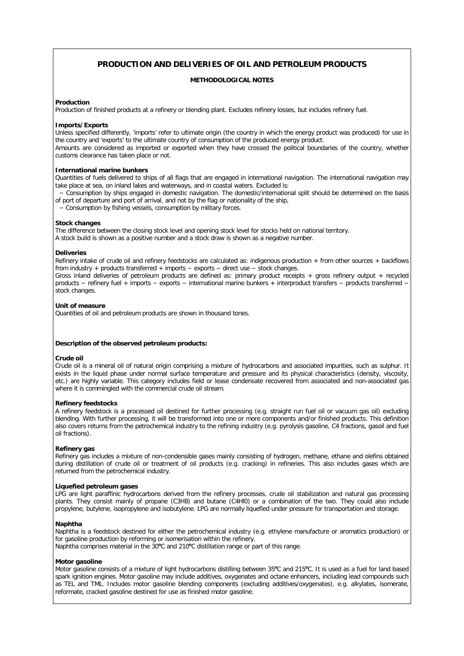# **PRODUCTION AND DELIVERIES OF OIL AND PETROLEUM PRODUCTS**

# **METHODOLOGICAL NOTES**

# **Production**

Production of finished products at a refinery or blending plant. Excludes refinery losses, but includes refinery fuel.

# **Imports/Exports**

Unless specified differently, 'imports' refer to ultimate origin (the country in which the energy product was produced) for use in the country and 'exports' to the ultimate country of consumption of the produced energy product. Amounts are considered as imported or exported when they have crossed the political boundaries of the country, whether customs clearance has taken place or not.

# **International marine bunkers**

Quantities of fuels delivered to ships of all flags that are engaged in international navigation. The international navigation may take place at sea, on inland lakes and waterways, and in coastal waters. Excluded is:

 − Consumption by ships engaged in domestic navigation. The domestic/international split should be determined on the basis of port of departure and port of arrival, and not by the flag or nationality of the ship,

− Consumption by fishing vessels, consumption by military forces.

# **Stock changes**

The difference between the closing stock level and opening stock level for stocks held on national territory. A stock build is shown as a positive number and a stock draw is shown as a negative number.

### **Deliveries**

Refinery intake of crude oil and refinery feedstocks are calculated as: indigenous production + from other sources + backflows from industry + products transferred + imports − exports − direct use − stock changes.

Gross inland deliveries of petroleum products are defined as: primary product receipts + gross refinery output + recycled products − refinery fuel + imports − exports − international marine bunkers + interproduct transfers − products transferred − stock changes.

#### **Unit of measure**

Quantities of oil and petroleum products are shown in thousand tones.

# **Description of the observed petroleum products:**

# **Crude oil**

Crude oil is a mineral oil of natural origin comprising a mixture of hydrocarbons and associated impurities, such as sulphur. It exists in the liquid phase under normal surface temperature and pressure and its physical characteristics (density, viscosity, etc.) are highly variable. This category includes field or lease condensate recovered from associated and non-associated gas where it is commingled with the commercial crude oil stream.

# **Refinery feedstocks**

A refinery feedstock is a processed oil destined for further processing (e.g. straight run fuel oil or vacuum gas oil) excluding blending. With further processing, it will be transformed into one or more components and/or finished products. This definition also covers returns from the petrochemical industry to the refining industry (e.g. pyrolysis gasoline, C4 fractions, gasoil and fuel oil fractions).

# **Refinery gas**

Refinery gas includes a mixture of non-condensible gases mainly consisting of hydrogen, methane, ethane and olefins obtained during distillation of crude oil or treatment of oil products (e.g. cracking) in refineries. This also includes gases which are returned from the petrochemical industry.

# **Liquefied petroleum gases**

LPG are light paraffinic hydrocarbons derived from the refinery processes, crude oil stabilization and natural gas processing plants. They consist mainly of propane (C3H8) and butane (C4Hl0) or a combination of the two. They could also include propylene, butylene, isopropylene and isobutylene. LPG are normally liquefied under pressure for transportation and storage.

# **Naphtha**

Naphtha is a feedstock destined for either the petrochemical industry (e.g. ethylene manufacture or aromatics production) or for gasoline production by reforming or isomerisation within the refinery.

Naphtha comprises material in the 30°C and 210°C distillation range or part of this range.

# **Motor gasoline**

Motor gasoline consists of a mixture of light hydrocarbons distilling between 35**<sup>o</sup>** C and 215**<sup>o</sup>** C. It is used as a fuel for land based spark ignition engines. Motor gasoline may include additives, oxygenates and octane enhancers, including lead compounds such as TEL and TML. Includes motor gasoline blending components (excluding additives/oxygenates), e.g. alkylates, isomerate, reformate, cracked gasoline destined for use as finished motor gasoline.